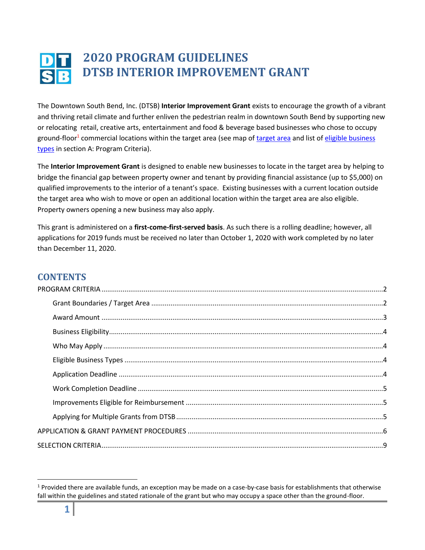# **2020 PROGRAM GUIDELINES DTSB INTERIOR IMPROVEMENT GRANT**

The Downtown South Bend, Inc. (DTSB) **Interior Improvement Grant** exists to encourage the growth of a vibrant and thriving retail climate and further enliven the pedestrian realm in downtown South Bend by supporting new or relocating retail, creative arts, entertainment and food & beverage based businesses who chose to occupy ground-floor<sup>1</sup> commercial locations within the target area (see map of *target area* and list of *eligible business* [types](#page-3-0) in section A: Program Criteria).

The **Interior Improvement Grant** is designed to enable new businesses to locate in the target area by helping to bridge the financial gap between property owner and tenant by providing financial assistance (up to \$5,000) on qualified improvements to the interior of a tenant's space. Existing businesses with a current location outside the target area who wish to move or open an additional location within the target area are also eligible. Property owners opening a new business may also apply.

This grant is administered on a **first-come-first-served basis**. As such there is a rolling deadline; however, all applications for 2019 funds must be received no later than October 1, 2020 with work completed by no later than December 11, 2020.

# **CONTENTS**

<span id="page-0-0"></span> $1$  Provided there are available funds, an exception may be made on a case-by-case basis for establishments that otherwise fall within the guidelines and stated rationale of the grant but who may occupy a space other than the ground-floor.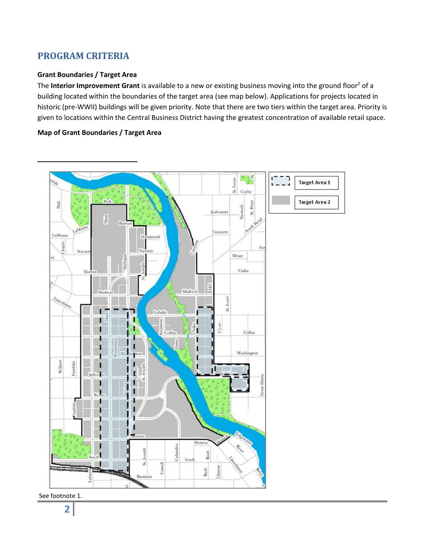# **PROGRAM CRITERIA**

# <span id="page-1-0"></span>**Grant Boundaries / Target Area**

The Interior Improvement Grant is available to a new or existing business moving into the ground floor<sup>2</sup> of a building located within the boundaries of the target area (see map below). Applications for projects located in historic (pre-WWII) buildings will be given priority. Note that there are two tiers within the target area. Priority is given to locations within the Central Business District having the greatest concentration of available retail space.

# **Map of Grant Boundaries / Target Area**



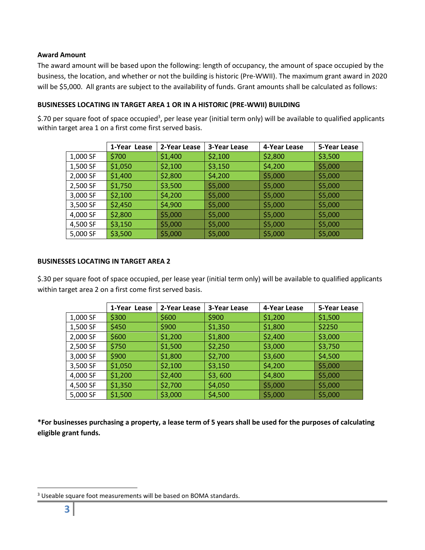# <span id="page-2-0"></span>**Award Amount**

The award amount will be based upon the following: length of occupancy, the amount of space occupied by the business, the location, and whether or not the building is historic (Pre-WWII). The maximum grant award in 2020 will be \$5,000. All grants are subject to the availability of funds. Grant amounts shall be calculated as follows:

# **BUSINESSES LOCATING IN TARGET AREA 1 OR IN A HISTORIC (PRE-WWII) BUILDING**

\$.70 per square foot of space occupied<sup>3</sup>, per lease year (initial term only) will be available to qualified applicants within target area 1 on a first come first served basis.

|          | 1-Year Lease | 2-Year Lease | 3-Year Lease | 4-Year Lease | 5-Year Lease |  |  |
|----------|--------------|--------------|--------------|--------------|--------------|--|--|
| 1,000 SF | \$700        | \$1,400      | \$2,100      | \$2,800      | \$3,500      |  |  |
| 1,500 SF | \$1,050      | \$2,100      | \$3,150      | \$4,200      | \$5,000      |  |  |
| 2,000 SF | \$1,400      | \$2,800      | \$4,200      | \$5,000      | \$5,000      |  |  |
| 2,500 SF | \$1,750      | \$3,500      | \$5,000      | \$5,000      | \$5,000      |  |  |
| 3,000 SF | \$2,100      | \$4,200      | \$5,000      | \$5,000      | \$5,000      |  |  |
| 3,500 SF | \$2,450      | \$4,900      | \$5,000      | \$5,000      | \$5,000      |  |  |
| 4,000 SF | \$2,800      | \$5,000      | \$5,000      | \$5,000      | \$5,000      |  |  |
| 4,500 SF | \$3,150      | \$5,000      | \$5,000      | \$5,000      | \$5,000      |  |  |
| 5,000 SF | \$3,500      | \$5,000      | \$5,000      | \$5,000      | \$5,000      |  |  |

# **BUSINESSES LOCATING IN TARGET AREA 2**

\$.30 per square foot of space occupied, per lease year (initial term only) will be available to qualified applicants within target area 2 on a first come first served basis.

|          | 1-Year Lease | 2-Year Lease | 3-Year Lease | 4-Year Lease | 5-Year Lease |
|----------|--------------|--------------|--------------|--------------|--------------|
| 1,000 SF | \$300        | \$600        | \$900        | \$1,200      | \$1,500      |
| 1,500 SF | \$450        | \$900        | \$1,350      | \$1,800      | \$2250       |
| 2,000 SF | \$600        | \$1,200      | \$1,800      | \$2,400      | \$3,000      |
| 2,500 SF | \$750        | \$1,500      | \$2,250      | \$3,000      | \$3,750      |
| 3,000 SF | \$900        | \$1,800      | \$2,700      | \$3,600      | \$4,500      |
| 3,500 SF | \$1,050      | \$2,100      | \$3,150      | \$4,200      | \$5,000      |
| 4,000 SF | \$1,200      | \$2,400      | \$3,600      | \$4,800      | \$5,000      |
| 4,500 SF | \$1,350      | \$2,700      | \$4,050      | \$5,000      | \$5,000      |
| 5,000 SF | \$1,500      | \$3,000      | \$4,500      | \$5,000      | \$5,000      |

**\*For businesses purchasing a property, a lease term of 5 years shall be used for the purposes of calculating eligible grant funds.** 

<sup>3</sup> Useable square foot measurements will be based on BOMA standards.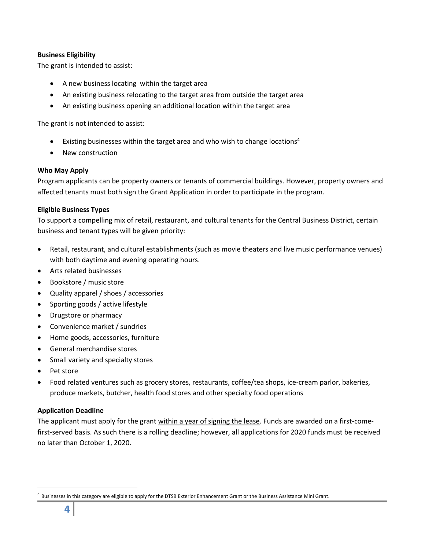# <span id="page-3-1"></span>**Business Eligibility**

The grant is intended to assist:

- A new business locating within the target area
- An existing business relocating to the target area from outside the target area
- An existing business opening an additional location within the target area

The grant is not intended to assist:

- Existing businesses within the target area and who wish to change locations<sup>4</sup>
- New construction

# <span id="page-3-2"></span>**Who May Apply**

Program applicants can be property owners or tenants of commercial buildings. However, property owners and affected tenants must both sign the Grant Application in order to participate in the program.

# <span id="page-3-0"></span>**Eligible Business Types**

To support a compelling mix of retail, restaurant, and cultural tenants for the Central Business District, certain business and tenant types will be given priority:

- Retail, restaurant, and cultural establishments (such as movie theaters and live music performance venues) with both daytime and evening operating hours.
- Arts related businesses
- Bookstore / music store
- Quality apparel / shoes / accessories
- Sporting goods / active lifestyle
- Drugstore or pharmacy
- Convenience market / sundries
- Home goods, accessories, furniture
- General merchandise stores
- Small variety and specialty stores
- Pet store
- Food related ventures such as grocery stores, restaurants, coffee/tea shops, ice-cream parlor, bakeries, produce markets, butcher, health food stores and other specialty food operations

# <span id="page-3-3"></span>**Application Deadline**

The applicant must apply for the grant within a year of signing the lease. Funds are awarded on a first-comefirst-served basis. As such there is a rolling deadline; however, all applications for 2020 funds must be received no later than October 1, 2020.

<sup>4</sup> Businesses in this category are eligible to apply for the DTSB Exterior Enhancement Grant or the Business Assistance Mini Grant.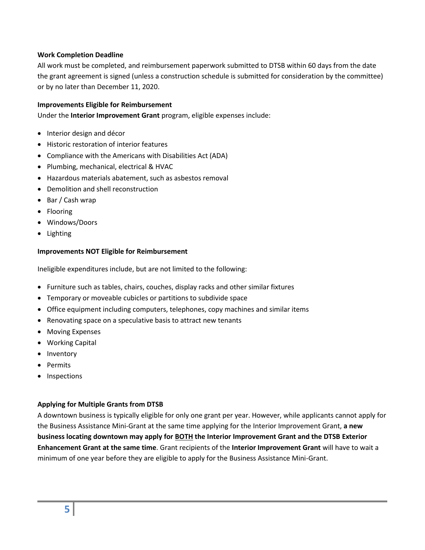#### <span id="page-4-0"></span>**Work Completion Deadline**

All work must be completed, and reimbursement paperwork submitted to DTSB within 60 days from the date the grant agreement is signed (unless a construction schedule is submitted for consideration by the committee) or by no later than December 11, 2020.

### <span id="page-4-1"></span>**Improvements Eligible for Reimbursement**

Under the **Interior Improvement Grant** program, eligible expenses include:

- Interior design and décor
- Historic restoration of interior features
- Compliance with the Americans with Disabilities Act (ADA)
- Plumbing, mechanical, electrical & HVAC
- Hazardous materials abatement, such as asbestos removal
- Demolition and shell reconstruction
- Bar / Cash wrap
- Flooring
- Windows/Doors
- Lighting

#### **Improvements NOT Eligible for Reimbursement**

Ineligible expenditures include, but are not limited to the following:

- Furniture such as tables, chairs, couches, display racks and other similar fixtures
- Temporary or moveable cubicles or partitions to subdivide space
- Office equipment including computers, telephones, copy machines and similar items
- Renovating space on a speculative basis to attract new tenants
- Moving Expenses
- Working Capital
- Inventory
- Permits
- Inspections

#### <span id="page-4-2"></span>**Applying for Multiple Grants from DTSB**

A downtown business is typically eligible for only one grant per year. However, while applicants cannot apply for the Business Assistance Mini-Grant at the same time applying for the Interior Improvement Grant, **a new business locating downtown may apply for BOTH the Interior Improvement Grant and the DTSB Exterior Enhancement Grant at the same time**. Grant recipients of the **Interior Improvement Grant** will have to wait a minimum of one year before they are eligible to apply for the Business Assistance Mini-Grant.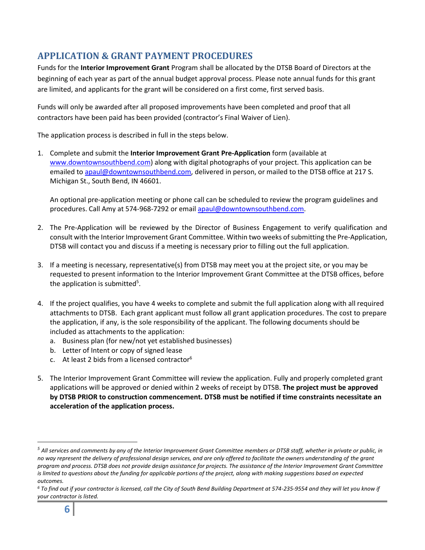# <span id="page-5-0"></span>**APPLICATION & GRANT PAYMENT PROCEDURES**

Funds for the **Interior Improvement Grant** Program shall be allocated by the DTSB Board of Directors at the beginning of each year as part of the annual budget approval process. Please note annual funds for this grant are limited, and applicants for the grant will be considered on a first come, first served basis.

Funds will only be awarded after all proposed improvements have been completed and proof that all contractors have been paid has been provided (contractor's Final Waiver of Lien).

The application process is described in full in the steps below.

1. Complete and submit the **Interior Improvement Grant Pre-Application** form (available at [www.downtownsouthbend.com\)](http://www.downtownsouthbend.com/) along with digital photographs of your project. This application can be emailed to [apaul@downtownsouthbend.com,](mailto:apaul@downtownsouthbend.com) delivered in person, or mailed to the DTSB office at 217 S. Michigan St., South Bend, IN 46601.

An optional pre-application meeting or phone call can be scheduled to review the program guidelines and procedures. Call Amy at 574-968-7292 or email [apaul@downtownsouthbend.com.](mailto:apaul@downtownsouthbend.com)

- 2. The Pre-Application will be reviewed by the Director of Business Engagement to verify qualification and consult with the Interior Improvement Grant Committee. Within two weeks of submitting the Pre-Application, DTSB will contact you and discuss if a meeting is necessary prior to filling out the full application.
- 3. If a meeting is necessary, representative(s) from DTSB may meet you at the project site, or you may be requested to present information to the Interior Improvement Grant Committee at the DTSB offices, before the application is submitted<sup>5</sup>.
- 4. If the project qualifies, you have 4 weeks to complete and submit the full application along with all required attachments to DTSB. Each grant applicant must follow all grant application procedures. The cost to prepare the application, if any, is the sole responsibility of the applicant. The following documents should be included as attachments to the application:
	- a. Business plan (for new/not yet established businesses)
	- b. Letter of Intent or copy of signed lease
	- c. At least 2 bids from a licensed contractor  $6$
- 5. The Interior Improvement Grant Committee will review the application. Fully and properly completed grant applications will be approved or denied within 2 weeks of receipt by DTSB. **The project must be approved by DTSB PRIOR to construction commencement. DTSB must be notified if time constraints necessitate an acceleration of the application process.**

*<sup>5</sup> All services and comments by any of the Interior Improvement Grant Committee members or DTSB staff, whether in private or public, in no way represent the delivery of professional design services, and are only offered to facilitate the owners understanding of the grant program and process. DTSB does not provide design assistance for projects. The assistance of the Interior Improvement Grant Committee is limited to questions about the funding for applicable portions of the project, along with making suggestions based on expected outcomes.*

*<sup>6</sup> To find out if your contractor is licensed, call the City of South Bend Building Department at 574-235-9554 and they will let you know if your contractor is listed.*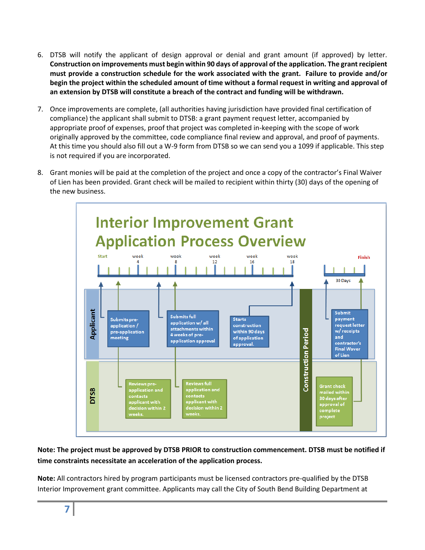- 6. DTSB will notify the applicant of design approval or denial and grant amount (if approved) by letter. **Construction on improvements must begin within 90 days of approval of the application. The grant recipient must provide a construction schedule for the work associated with the grant. Failure to provide and/or begin the project within the scheduled amount of time without a formal request in writing and approval of an extension by DTSB will constitute a breach of the contract and funding will be withdrawn.**
- 7. Once improvements are complete, (all authorities having jurisdiction have provided final certification of compliance) the applicant shall submit to DTSB: a grant payment request letter, accompanied by appropriate proof of expenses, proof that project was completed in-keeping with the scope of work originally approved by the committee, code compliance final review and approval, and proof of payments. At this time you should also fill out a W-9 form from DTSB so we can send you a 1099 if applicable. This step is not required if you are incorporated.
- 8. Grant monies will be paid at the completion of the project and once a copy of the contractor's Final Waiver of Lien has been provided. Grant check will be mailed to recipient within thirty (30) days of the opening of the new business.



# **Note: The project must be approved by DTSB PRIOR to construction commencement. DTSB must be notified if time constraints necessitate an acceleration of the application process.**

**Note:** All contractors hired by program participants must be licensed contractors pre-qualified by the DTSB Interior Improvement grant committee. Applicants may call the City of South Bend Building Department at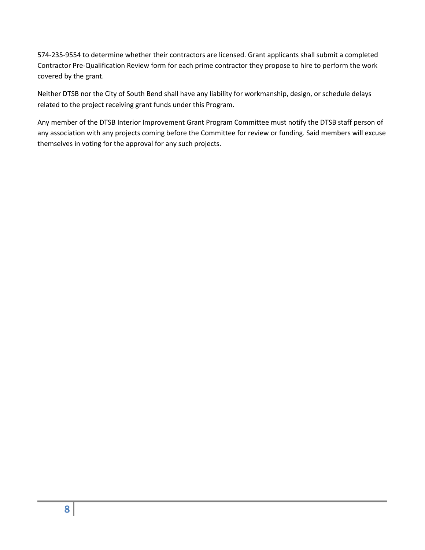574-235-9554 to determine whether their contractors are licensed. Grant applicants shall submit a completed Contractor Pre-Qualification Review form for each prime contractor they propose to hire to perform the work covered by the grant.

Neither DTSB nor the City of South Bend shall have any liability for workmanship, design, or schedule delays related to the project receiving grant funds under this Program.

Any member of the DTSB Interior Improvement Grant Program Committee must notify the DTSB staff person of any association with any projects coming before the Committee for review or funding. Said members will excuse themselves in voting for the approval for any such projects.